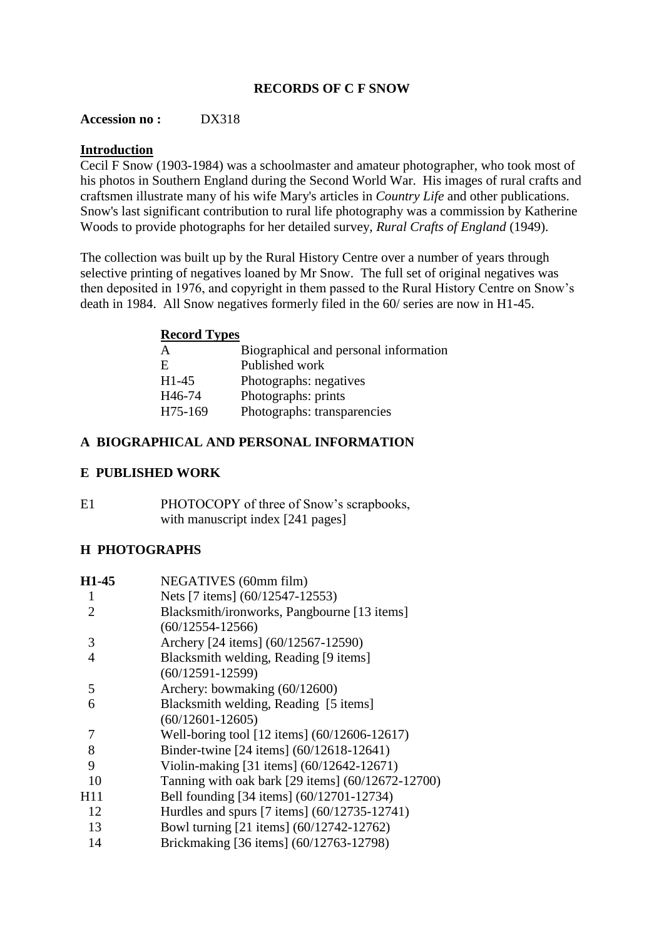# **RECORDS OF C F SNOW**

#### **Accession no :** DX318

### **Introduction**

Cecil F Snow (1903-1984) was a schoolmaster and amateur photographer, who took most of his photos in Southern England during the Second World War. His images of rural crafts and craftsmen illustrate many of his wife Mary's articles in *Country Life* and other publications. Snow's last significant contribution to rural life photography was a commission by Katherine Woods to provide photographs for her detailed survey, *Rural Crafts of England* (1949).

The collection was built up by the Rural History Centre over a number of years through selective printing of negatives loaned by Mr Snow. The full set of original negatives was then deposited in 1976, and copyright in them passed to the Rural History Centre on Snow's death in 1984. All Snow negatives formerly filed in the 60/ series are now in H1-45.

## **Record Types**

| A                   | Biographical and personal information |
|---------------------|---------------------------------------|
| E.                  | Published work                        |
| $H1-45$             | Photographs: negatives                |
| H <sub>46</sub> -74 | Photographs: prints                   |
| H75-169             | Photographs: transparencies           |

### **A BIOGRAPHICAL AND PERSONAL INFORMATION**

## **E PUBLISHED WORK**

E1 PHOTOCOPY of three of Snow's scrapbooks, with manuscript index [241 pages]

## **H PHOTOGRAPHS**

| H1-45                       | NEGATIVES (60mm film)                             |  |
|-----------------------------|---------------------------------------------------|--|
| 1                           | Nets [7 items] (60/12547-12553)                   |  |
| $\mathcal{D}_{\mathcal{L}}$ | Blacksmith/ironworks, Pangbourne [13 items]       |  |
|                             | $(60/12554 - 12566)$                              |  |
| 3                           | Archery [24 items] (60/12567-12590)               |  |
| 4                           | Blacksmith welding, Reading [9 items]             |  |
|                             | $(60/12591 - 12599)$                              |  |
| 5                           | Archery: bowmaking (60/12600)                     |  |
| 6                           | Blacksmith welding, Reading [5 items]             |  |
|                             | $(60/12601 - 12605)$                              |  |
| 7                           | Well-boring tool [12 items] (60/12606-12617)      |  |
| 8                           | Binder-twine [24 items] (60/12618-12641)          |  |
| 9                           | Violin-making [31 items] (60/12642-12671)         |  |
| 10                          | Tanning with oak bark [29 items] (60/12672-12700) |  |
| H11                         | Bell founding [34 items] (60/12701-12734)         |  |
| 12                          | Hurdles and spurs [7 items] (60/12735-12741)      |  |
| 13                          | Bowl turning [21 items] (60/12742-12762)          |  |
| 14                          | Brickmaking [36 items] (60/12763-12798)           |  |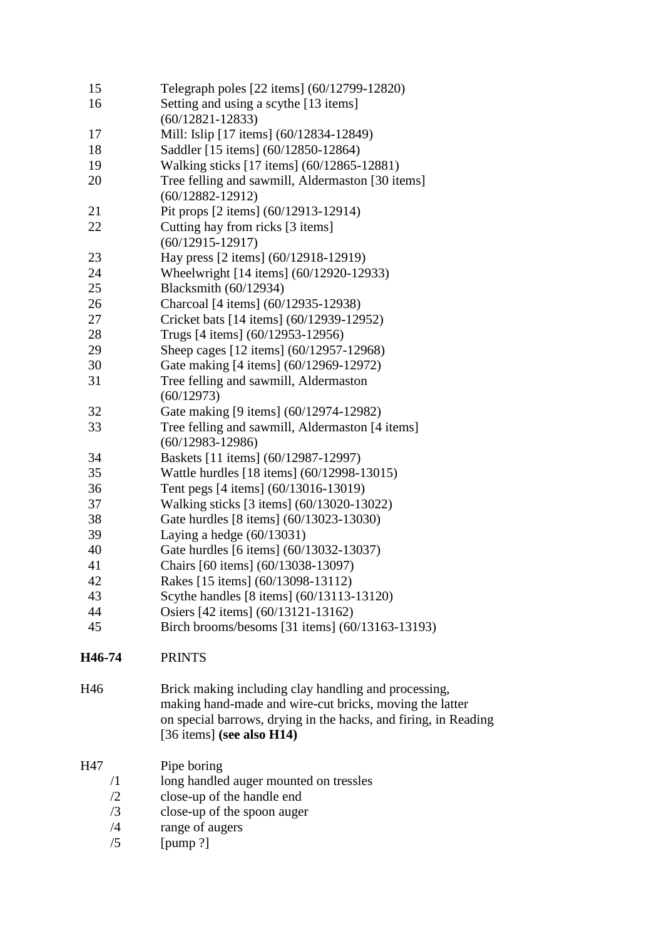| 15         | Telegraph poles [22 items] (60/12799-12820)                     |
|------------|-----------------------------------------------------------------|
| 16         | Setting and using a scythe [13 items]                           |
|            | $(60/12821 - 12833)$                                            |
| 17         | Mill: Islip [17 items] (60/12834-12849)                         |
| 18         | Saddler [15 items] (60/12850-12864)                             |
| 19         | Walking sticks [17 items] (60/12865-12881)                      |
| 20         | Tree felling and sawmill, Aldermaston [30 items]                |
|            | $(60/12882 - 12912)$                                            |
| 21         | Pit props [2 items] (60/12913-12914)                            |
| 22         | Cutting hay from ricks [3 items]                                |
|            | $(60/12915 - 12917)$                                            |
| 23         | Hay press [2 items] (60/12918-12919)                            |
| 24         | Wheelwright [14 items] (60/12920-12933)                         |
| 25         | Blacksmith (60/12934)                                           |
| 26         | Charcoal [4 items] (60/12935-12938)                             |
| 27         | Cricket bats [14 items] (60/12939-12952)                        |
| 28         | Trugs [4 items] (60/12953-12956)                                |
| 29         | Sheep cages [12 items] (60/12957-12968)                         |
| 30         | Gate making [4 items] (60/12969-12972)                          |
| 31         | Tree felling and sawmill, Aldermaston                           |
|            | (60/12973)                                                      |
| 32         | Gate making [9 items] (60/12974-12982)                          |
| 33         | Tree felling and sawmill, Aldermaston [4 items]                 |
|            | $(60/12983 - 12986)$                                            |
| 34         | Baskets [11 items] (60/12987-12997)                             |
| 35         | Wattle hurdles [18 items] (60/12998-13015)                      |
| 36         | Tent pegs [4 items] (60/13016-13019)                            |
| 37         | Walking sticks [3 items] (60/13020-13022)                       |
| 38         | Gate hurdles [8 items] (60/13023-13030)                         |
| 39         | Laying a hedge $(60/13031)$                                     |
| 40         | Gate hurdles [6 items] (60/13032-13037)                         |
| 41         | Chairs [60 items] (60/13038-13097)                              |
| 42         | Rakes [15 items] (60/13098-13112)                               |
| 43         | Scythe handles [8 items] (60/13113-13120)                       |
| 44         | Osiers [42 items] (60/13121-13162)                              |
| 45         | Birch brooms/besoms [31 items] (60/13163-13193)                 |
|            |                                                                 |
| H46-74     | <b>PRINTS</b>                                                   |
| H46        | Brick making including clay handling and processing,            |
|            | making hand-made and wire-cut bricks, moving the latter         |
|            | on special barrows, drying in the hacks, and firing, in Reading |
|            | [36 items] (see also $H14$ )                                    |
| H47        | Pipe boring                                                     |
| $\sqrt{1}$ | long handled auger mounted on tressles                          |
| /2         | close-up of the handle end                                      |
| /3         | close-up of the spoon auger                                     |
| /4         | range of augers                                                 |
| /5         | [pump ?]                                                        |
|            |                                                                 |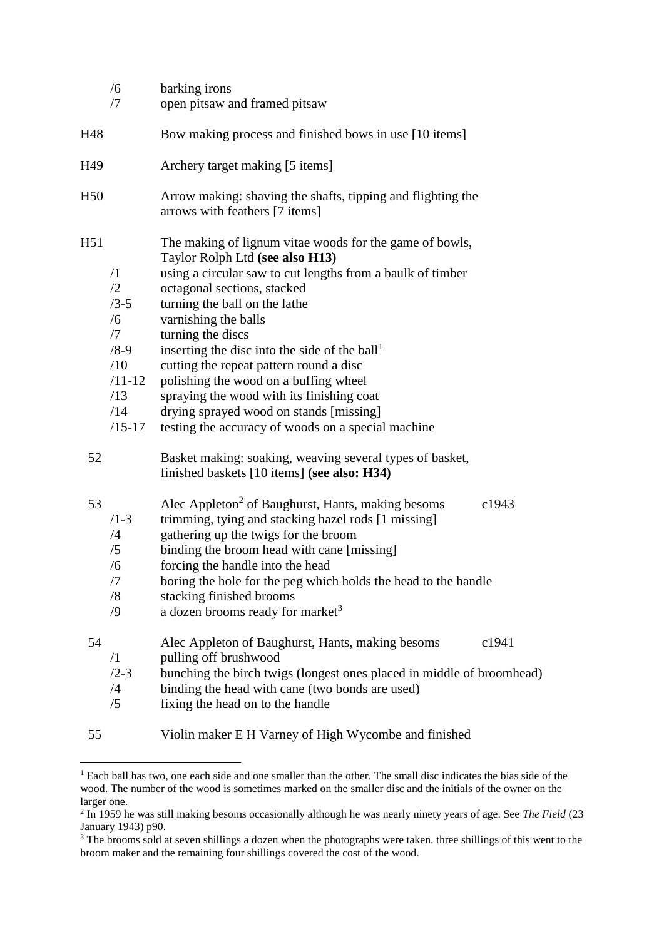|     | /6<br>/7                                                                                              | barking irons<br>open pitsaw and framed pitsaw                                                                                                                                                                                                                                                                                                                                                                                                                                                                                                                       |       |
|-----|-------------------------------------------------------------------------------------------------------|----------------------------------------------------------------------------------------------------------------------------------------------------------------------------------------------------------------------------------------------------------------------------------------------------------------------------------------------------------------------------------------------------------------------------------------------------------------------------------------------------------------------------------------------------------------------|-------|
| H48 |                                                                                                       | Bow making process and finished bows in use [10 items]                                                                                                                                                                                                                                                                                                                                                                                                                                                                                                               |       |
| H49 |                                                                                                       | Archery target making [5 items]                                                                                                                                                                                                                                                                                                                                                                                                                                                                                                                                      |       |
| H50 |                                                                                                       | Arrow making: shaving the shafts, tipping and flighting the<br>arrows with feathers [7 items]                                                                                                                                                                                                                                                                                                                                                                                                                                                                        |       |
| H51 | $\sqrt{1}$<br>/2<br>$/3 - 5$<br>/6<br>/7<br>$/8 - 9$<br>/10<br>$/11 - 12$<br>/13<br>/14<br>$/15 - 17$ | The making of lignum vitae woods for the game of bowls,<br>Taylor Rolph Ltd (see also H13)<br>using a circular saw to cut lengths from a baulk of timber<br>octagonal sections, stacked<br>turning the ball on the lathe<br>varnishing the balls<br>turning the discs<br>inserting the disc into the side of the ball <sup>1</sup><br>cutting the repeat pattern round a disc<br>polishing the wood on a buffing wheel<br>spraying the wood with its finishing coat<br>drying sprayed wood on stands [missing]<br>testing the accuracy of woods on a special machine |       |
| 52  |                                                                                                       | Basket making: soaking, weaving several types of basket,<br>finished baskets [10 items] (see also: H34)                                                                                                                                                                                                                                                                                                                                                                                                                                                              |       |
| 53  | $/1 - 3$<br>/4<br>/5<br>/6<br>/7<br>/8<br>$\sqrt{9}$                                                  | Alec Appleton <sup>2</sup> of Baughurst, Hants, making besoms<br>trimming, tying and stacking hazel rods [1 missing]<br>gathering up the twigs for the broom<br>binding the broom head with cane [missing]<br>forcing the handle into the head<br>boring the hole for the peg which holds the head to the handle<br>stacking finished brooms<br>a dozen brooms ready for market <sup>3</sup>                                                                                                                                                                         | c1943 |
| 54  | $\sqrt{1}$<br>$/2 - 3$<br>/4<br>/5                                                                    | Alec Appleton of Baughurst, Hants, making besoms<br>pulling off brushwood<br>bunching the birch twigs (longest ones placed in middle of broomhead)<br>binding the head with cane (two bonds are used)<br>fixing the head on to the handle                                                                                                                                                                                                                                                                                                                            | c1941 |
| 55  |                                                                                                       | Violin maker E H Varney of High Wycombe and finished                                                                                                                                                                                                                                                                                                                                                                                                                                                                                                                 |       |

<sup>&</sup>lt;sup>1</sup> Each ball has two, one each side and one smaller than the other. The small disc indicates the bias side of the wood. The number of the wood is sometimes marked on the smaller disc and the initials of the owner on the larger one. 2 In 1959 he was still making besoms occasionally although he was nearly ninety years of age. See *The Field* (23

1

January 1943) p90.

<sup>&</sup>lt;sup>3</sup> The brooms sold at seven shillings a dozen when the photographs were taken. three shillings of this went to the broom maker and the remaining four shillings covered the cost of the wood.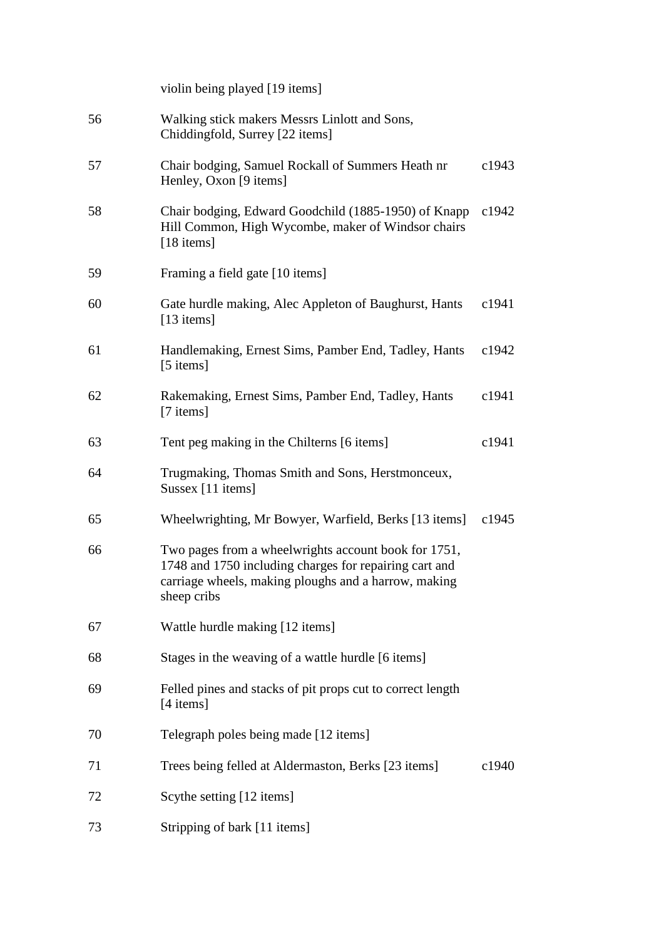|    | violin being played [19 items]                                                                                                                                                        |       |
|----|---------------------------------------------------------------------------------------------------------------------------------------------------------------------------------------|-------|
| 56 | Walking stick makers Messrs Linlott and Sons,<br>Chiddingfold, Surrey [22 items]                                                                                                      |       |
| 57 | Chair bodging, Samuel Rockall of Summers Heath nr<br>Henley, Oxon [9 items]                                                                                                           | c1943 |
| 58 | Chair bodging, Edward Goodchild (1885-1950) of Knapp<br>Hill Common, High Wycombe, maker of Windsor chairs<br>[18 items]                                                              | c1942 |
| 59 | Framing a field gate [10 items]                                                                                                                                                       |       |
| 60 | Gate hurdle making, Alec Appleton of Baughurst, Hants<br>$[13$ items]                                                                                                                 | c1941 |
| 61 | Handlemaking, Ernest Sims, Pamber End, Tadley, Hants<br>[5 items]                                                                                                                     | c1942 |
| 62 | Rakemaking, Ernest Sims, Pamber End, Tadley, Hants<br>[7 items]                                                                                                                       | c1941 |
| 63 | Tent peg making in the Chilterns [6 items]                                                                                                                                            | c1941 |
| 64 | Trugmaking, Thomas Smith and Sons, Herstmonceux,<br>Sussex [11 items]                                                                                                                 |       |
| 65 | Wheelwrighting, Mr Bowyer, Warfield, Berks [13 items]                                                                                                                                 | c1945 |
| 66 | Two pages from a wheelwrights account book for 1751,<br>1748 and 1750 including charges for repairing cart and<br>carriage wheels, making ploughs and a harrow, making<br>sheep cribs |       |
| 67 | Wattle hurdle making [12 items]                                                                                                                                                       |       |
| 68 | Stages in the weaving of a wattle hurdle [6 items]                                                                                                                                    |       |
| 69 | Felled pines and stacks of pit props cut to correct length<br>[4 items]                                                                                                               |       |
| 70 | Telegraph poles being made [12 items]                                                                                                                                                 |       |
| 71 | Trees being felled at Aldermaston, Berks [23 items]                                                                                                                                   | c1940 |
| 72 | Scythe setting [12 items]                                                                                                                                                             |       |
| 73 | Stripping of bark [11 items]                                                                                                                                                          |       |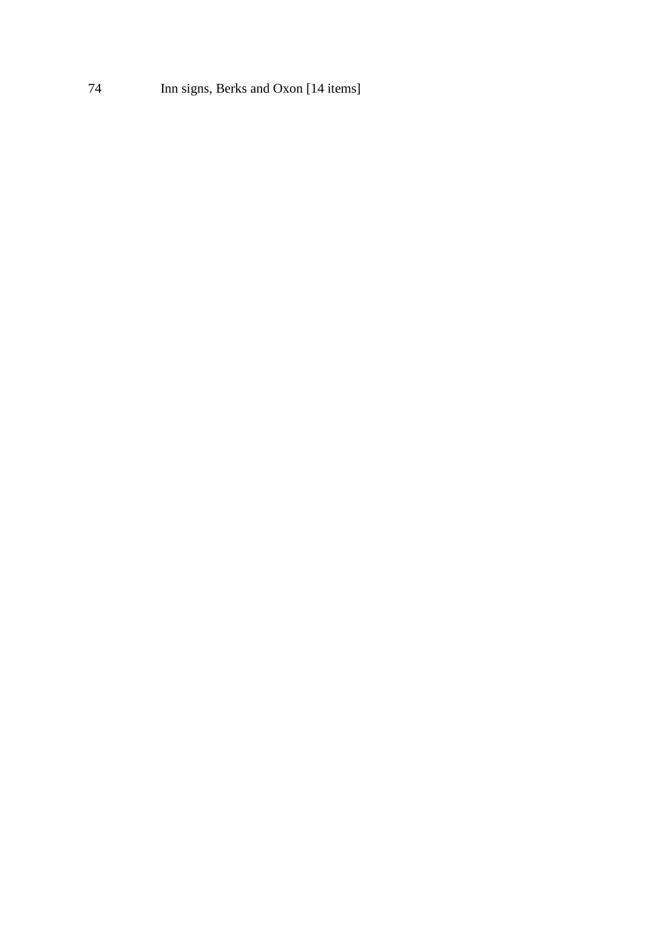Inn signs, Berks and Oxon [14 items]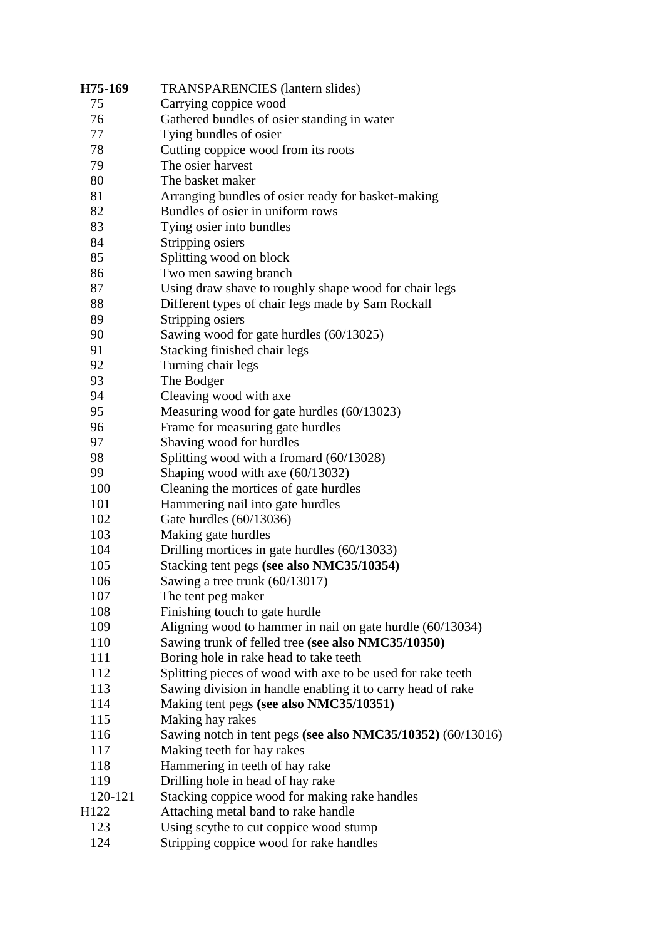| H75-169          | <b>TRANSPARENCIES</b> (lantern slides)                      |
|------------------|-------------------------------------------------------------|
| 75               | Carrying coppice wood                                       |
| 76               | Gathered bundles of osier standing in water                 |
| 77               | Tying bundles of osier                                      |
| 78               | Cutting coppice wood from its roots                         |
| 79               | The osier harvest                                           |
| 80               | The basket maker                                            |
| 81               | Arranging bundles of osier ready for basket-making          |
| 82               | Bundles of osier in uniform rows                            |
| 83               | Tying osier into bundles                                    |
| 84               | Stripping osiers                                            |
| 85               | Splitting wood on block                                     |
| 86               | Two men sawing branch                                       |
| 87               | Using draw shave to roughly shape wood for chair legs       |
| 88               | Different types of chair legs made by Sam Rockall           |
| 89               | Stripping osiers                                            |
| 90               | Sawing wood for gate hurdles (60/13025)                     |
| 91               | Stacking finished chair legs                                |
| 92               | Turning chair legs                                          |
| 93               | The Bodger                                                  |
| 94               | Cleaving wood with axe                                      |
| 95               | Measuring wood for gate hurdles (60/13023)                  |
| 96               | Frame for measuring gate hurdles                            |
| 97               | Shaving wood for hurdles                                    |
| 98               | Splitting wood with a fromard (60/13028)                    |
| 99               | Shaping wood with axe $(60/13032)$                          |
| 100              | Cleaning the mortices of gate hurdles                       |
| 101              | Hammering nail into gate hurdles                            |
| 102              | Gate hurdles (60/13036)                                     |
| 103              | Making gate hurdles                                         |
| 104              | Drilling mortices in gate hurdles (60/13033)                |
| 105              | Stacking tent pegs (see also NMC35/10354)                   |
| 106              | Sawing a tree trunk $(60/13017)$                            |
| 107              | The tent peg maker                                          |
| 108              | Finishing touch to gate hurdle                              |
| 109              | Aligning wood to hammer in nail on gate hurdle (60/13034)   |
| 110              | Sawing trunk of felled tree (see also NMC35/10350)          |
| 111              | Boring hole in rake head to take teeth                      |
| 112              | Splitting pieces of wood with axe to be used for rake teeth |
| 113              | Sawing division in handle enabling it to carry head of rake |
| 114              | Making tent pegs (see also NMC35/10351)                     |
| 115              | Making hay rakes                                            |
| 116              | Sawing notch in tent pegs (see also NMC35/10352) (60/13016) |
| 117              | Making teeth for hay rakes                                  |
| 118              | Hammering in teeth of hay rake                              |
| 119              | Drilling hole in head of hay rake                           |
| 120-121          | Stacking coppice wood for making rake handles               |
| H <sub>122</sub> | Attaching metal band to rake handle                         |
| 123              | Using scythe to cut coppice wood stump                      |
| 124              | Stripping coppice wood for rake handles                     |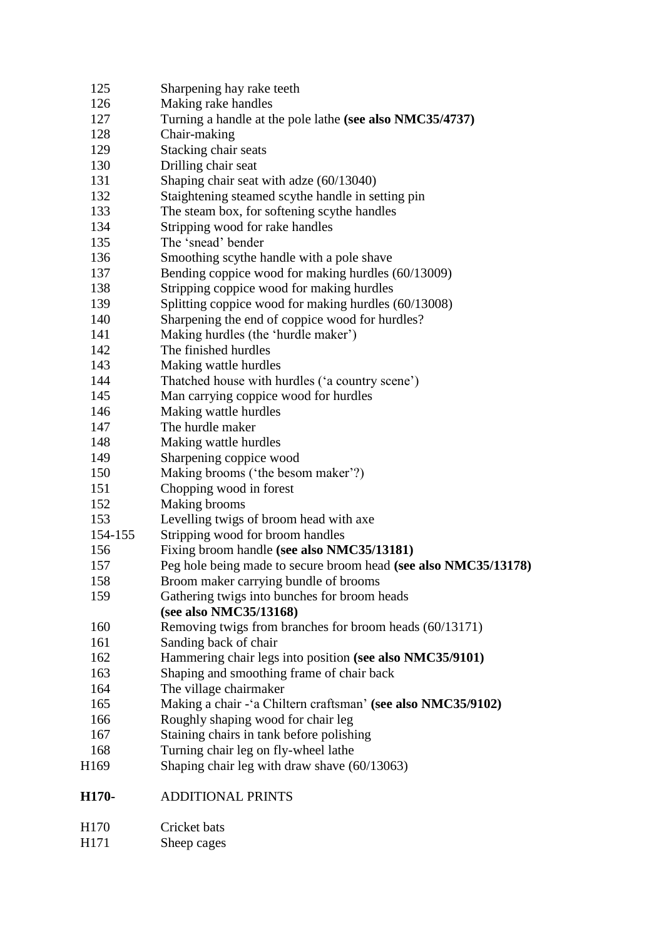| H170-       | <b>ADDITIONAL PRINTS</b>                                                             |  |
|-------------|--------------------------------------------------------------------------------------|--|
|             |                                                                                      |  |
| 168<br>H169 | Turning chair leg on fly-wheel lathe<br>Shaping chair leg with draw shave (60/13063) |  |
| 167         | Staining chairs in tank before polishing                                             |  |
| 166         | Roughly shaping wood for chair leg                                                   |  |
| 165         | Making a chair - 'a Chiltern craftsman' (see also NMC35/9102)                        |  |
| 164         | The village chairmaker                                                               |  |
| 163         | Shaping and smoothing frame of chair back                                            |  |
| 162         | Hammering chair legs into position (see also NMC35/9101)                             |  |
| 161         | Sanding back of chair                                                                |  |
| 160         | Removing twigs from branches for broom heads (60/13171)                              |  |
|             | (see also NMC35/13168)                                                               |  |
| 159         | Gathering twigs into bunches for broom heads                                         |  |
| 158         | Broom maker carrying bundle of brooms                                                |  |
| 157         | Peg hole being made to secure broom head (see also NMC35/13178)                      |  |
| 156         | Fixing broom handle (see also NMC35/13181)                                           |  |
| 154-155     | Stripping wood for broom handles                                                     |  |
| 153         | Levelling twigs of broom head with axe                                               |  |
| 152         | Making brooms                                                                        |  |
| 151         | Chopping wood in forest                                                              |  |
| 150         | Making brooms ('the besom maker'?)                                                   |  |
| 149         | Sharpening coppice wood                                                              |  |
| 148         | Making wattle hurdles                                                                |  |
| 147         | The hurdle maker                                                                     |  |
| 146         | Making wattle hurdles                                                                |  |
| 145         | Man carrying coppice wood for hurdles                                                |  |
| 144         | Thatched house with hurdles ('a country scene')                                      |  |
| 143         | Making wattle hurdles                                                                |  |
| 142         | The finished hurdles                                                                 |  |
| 141         | Making hurdles (the 'hurdle maker')                                                  |  |
| 140         | Sharpening the end of coppice wood for hurdles?                                      |  |
| 139         | Splitting coppice wood for making hurdles (60/13008)                                 |  |
| 138         | Stripping coppice wood for making hurdles                                            |  |
| 137         | Bending coppice wood for making hurdles (60/13009)                                   |  |
| 136         | Smoothing scythe handle with a pole shave                                            |  |
| 135         | The 'snead' bender                                                                   |  |
| 134         | Stripping wood for rake handles                                                      |  |
| 133         | The steam box, for softening scythe handles                                          |  |
| 132         | Staightening steamed scythe handle in setting pin                                    |  |
| 131         | Shaping chair seat with adze (60/13040)                                              |  |
| 130         | Drilling chair seat                                                                  |  |
| 129         | Stacking chair seats                                                                 |  |
| 128         | Chair-making                                                                         |  |
| 127         | Turning a handle at the pole lathe (see also NMC35/4737)                             |  |
| 126         | Making rake handles                                                                  |  |
| 125         | Sharpening hay rake teeth                                                            |  |

| H171 | Sheep cages |
|------|-------------|
|------|-------------|